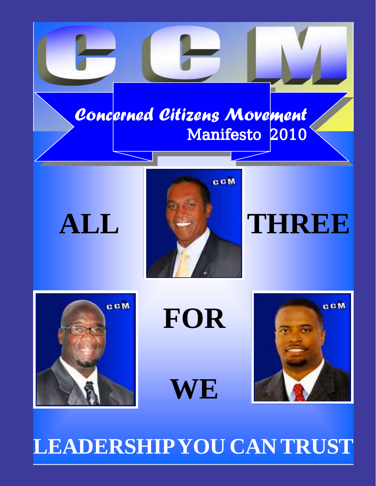## Concerned Citizens Movement Manifesto 2010

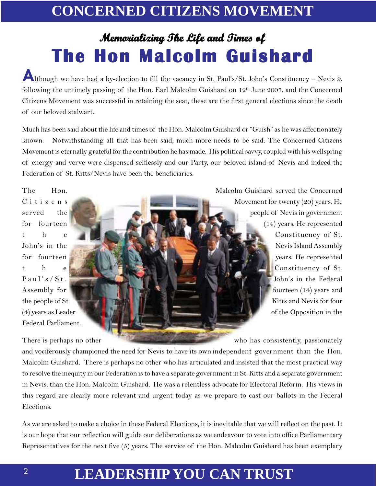## **Memorializing The Life and Times of The Hon Malcolm Guishard**

Although we have had a by-election to fill the vacancy in St. Paul's/St. John's Constituency – Nevis 9, following the untimely passing of the Hon. Earl Malcolm Guishard on  $12<sup>th</sup>$  June 2007, and the Concerned Citizens Movement was successful in retaining the seat, these are the first general elections since the death of our beloved stalwart.

Much has been said about the life and times of the Hon. Malcolm Guishard or "Guish" as he was affectionately known. Notwithstanding all that has been said, much more needs to be said. The Concerned Citizens Movement is eternally grateful for the contribution he has made. His political savvy, coupled with his wellspring of energy and verve were dispensed selflessly and our Party, our beloved island of Nevis and indeed the Federation of St. Kitts/Nevis have been the beneficiaries.

Federal Parliament.

The Hon. Malcolm Guishard served the Concerned  $C$ itizens  $C$ itizens He served the people of Nevis in government for fourteen  $\mathbb{R}$  for  $\mathbb{R}$  (14) years. He represented the constituency of St. John's in the Nevis Island Assembly for fourteen of the state of the state of the state of the state of the state of the state of the state of the state of the state of the state of the state of the state of the state of the state of the state of the state o the Constituency of St. Paul's/St. John's in the Federal Assembly for **fourteen** (14) years and the people of St. (4) years as Leader **of the Opposition in the** of the Opposition in the

There is perhaps no other who has consistently, passionately and vociferously championed the need for Nevis to have its own independent government than the Hon. Malcolm Guishard. There is perhaps no other who has articulated and insisted that the most practical way to resolve the inequity in our Federation is to have a separate government in St. Kitts and a separate government in Nevis, than the Hon. Malcolm Guishard. He was a relentless advocate for Electoral Reform. His views in this regard are clearly more relevant and urgent today as we prepare to cast our ballots in the Federal Elections.

As we are asked to make a choice in these Federal Elections, it is inevitable that we will reflect on the past. It is our hope that our reflection will guide our deliberations as we endeavour to vote into office Parliamentary Representatives for the next five (5) years. The service of the Hon. Malcolm Guishard has been exemplary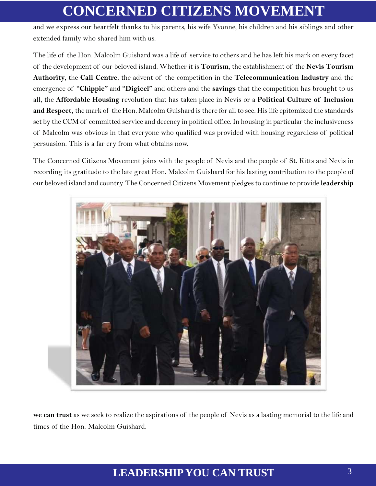and we express our heartfelt thanks to his parents, his wife Yvonne, his children and his siblings and other extended family who shared him with us.

The life of the Hon. Malcolm Guishard was a life of service to others and he has left his mark on every facet of the development of our beloved island. Whether it is **Tourism**, the establishment of the **Nevis Tourism Authority**, the **Call Centre**, the advent of the competition in the **Telecommunication Industry** and the emergence of **"Chippie"** and **"Digicel"** and others and the **savings** that the competition has brought to us all, the **Affordable Housing** revolution that has taken place in Nevis or a **Political Culture of Inclusion and Respect,** the mark of the Hon. Malcolm Guishard is there for all to see. His life epitomized the standards set by the CCM of committed service and decency in political office. In housing in particular the inclusiveness of Malcolm was obvious in that everyone who qualified was provided with housing regardless of political persuasion. This is a far cry from what obtains now.

The Concerned Citizens Movement joins with the people of Nevis and the people of St. Kitts and Nevis in recording its gratitude to the late great Hon. Malcolm Guishard for his lasting contribution to the people of our beloved island and country. The Concerned Citizens Movement pledges to continue to provide **leadership**



**we can trust** as we seek to realize the aspirations of the people of Nevis as a lasting memorial to the life and times of the Hon. Malcolm Guishard.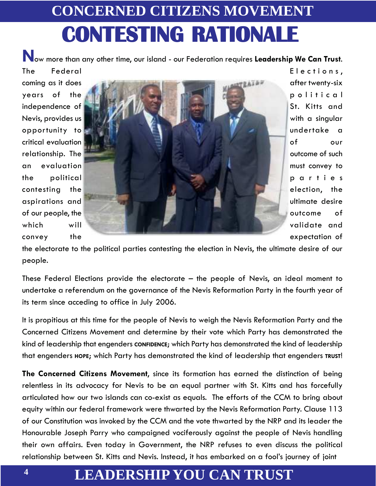# **CONCERNED CITIZENS MOVEMENT CONTESTING RATIONALE**

**N**ow more than any other time, our island - our Federation requires **Leadership We Can Trust**. The Federal Elections,



the electorate to the political parties contesting the election in Nevis, the ultimate desire of our people.

These Federal Elections provide the electorate – the people of Nevis, an ideal moment to undertake a referendum on the governance of the Nevis Reformation Party in the fourth year of its term since acceding to office in July 2006.

It is propitious at this time for the people of Nevis to weigh the Nevis Reformation Party and the Concerned Citizens Movement and determine by their vote which Party has demonstrated the kind of leadership that engenders **CONFIDENCE**; which Party has demonstrated the kind of leadership that engenders **HOPE**; which Party has demonstrated the kind of leadership that engenders **TRUST**!

**The Concerned Citizens Movement**, since its formation has earned the distinction of being relentless in its advocacy for Nevis to be an equal partner with St. Kitts and has forcefully articulated how our two islands can co-exist as equals. The efforts of the CCM to bring about equity within our federal framework were thwarted by the Nevis Reformation Party. Clause 113 of our Constitution was invoked by the CCM and the vote thwarted by the NRP and its leader the Honourable Joseph Parry who campaigned vociferously against the people of Nevis handling their own affairs. Even today in Government, the NRP refuses to even discuss the political relationship between St. Kitts and Nevis. Instead, it has embarked on a fool's journey of joint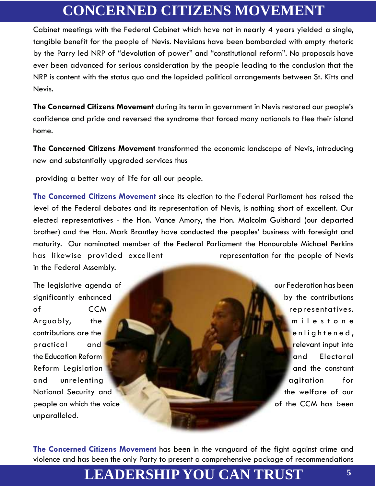Cabinet meetings with the Federal Cabinet which have not in nearly 4 years yielded a single, tangible benefit for the people of Nevis. Nevisians have been bombarded with empty rhetoric by the Parry led NRP of "devolution of power" and "constitutional reform". No proposals have ever been advanced for serious consideration by the people leading to the conclusion that the NRP is content with the status quo and the lopsided political arrangements between St. Kitts and Nevis.

**The Concerned Citizens Movement** during its term in government in Nevis restored our people's confidence and pride and reversed the syndrome that forced many nationals to flee their island home.

**The Concerned Citizens Movement** transformed the economic landscape of Nevis, introducing new and substantially upgraded services thus

providing a better way of life for all our people.

**The Concerned Citizens Movement** since its election to the Federal Parliament has raised the level of the Federal debates and its representation of Nevis, is nothing short of excellent. Our elected representatives - the Hon. Vance Amory, the Hon. Malcolm Guishard (our departed brother) and the Hon. Mark Brantley have conducted the peoples' business with foresight and maturity. Our nominated member of the Federal Parliament the Honourable Michael Perkins has likewise provided excellent representation for the people of Nevis in the Federal Assembly.

The legislative agenda of **the contract of our Federation has been** significantly enhanced **by the contributions** of CCM **COM Representatives.** Arguably, the milestone contributions are the enlightened, practical and relevant input into the Education Reform and Electoral control of the Education Reformation of the Education Reformation of the Ele Reform Legislation **and the constant** and unrelenting **and unrelenting** and the state of the state of the state of the state of the state of the state of the state of the state of the state of the state of the state of the state of the state of the state of th National Security and the welfare of our people on which the voice **of the CCM** has been unparalleled.

**The Concerned Citizens Movement** has been in the vanguard of the fight against crime and violence and has been the only Party to present a comprehensive package of recommendations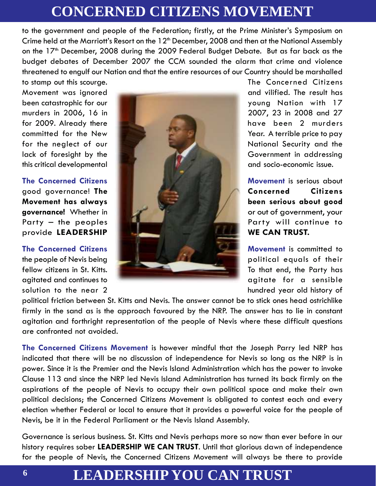to the government and people of the Federation; firstly, at the Prime Minister's Symposium on Crime held at the Marriott's Resort on the 12<sup>th</sup> December, 2008 and then at the National Assembly on the 17<sup>th</sup> December, 2008 during the 2009 Federal Budget Debate. But as far back as the budget debates of December 2007 the CCM sounded the alarm that crime and violence threatened to engulf our Nation and that the entire resources of our Country should be marshalled

this critical developmental



and socio-economic issue. to stamp out this scourge. The Concerned Citizens

**Citizens** 

solution to the near 2 hundred year old history of

political friction between St. Kitts and Nevis. The answer cannot be to stick ones head ostrichlike firmly in the sand as is the approach favoured by the NRP. The answer has to lie in constant agitation and forthright representation of the people of Nevis where these difficult questions are confronted not avoided.

**The Concerned Citizens Movement** is however mindful that the Joseph Parry led NRP has indicated that there will be no discussion of independence for Nevis so long as the NRP is in power. Since it is the Premier and the Nevis Island Administration which has the power to invoke Clause 113 and since the NRP led Nevis Island Administration has turned its back firmly on the aspirations of the people of Nevis to occupy their own political space and make their own political decisions; the Concerned Citizens Movement is obligated to contest each and every election whether Federal or local to ensure that it provides a powerful voice for the people of Nevis, be it in the Federal Parliament or the Nevis Island Assembly.

Governance is serious business. St. Kitts and Nevis perhaps more so now than ever before in our history requires sober **LEADERSHIP WE CAN TRUST**. Until that glorious dawn of independence for the people of Nevis, the Concerned Citizens Movement will always be there to provide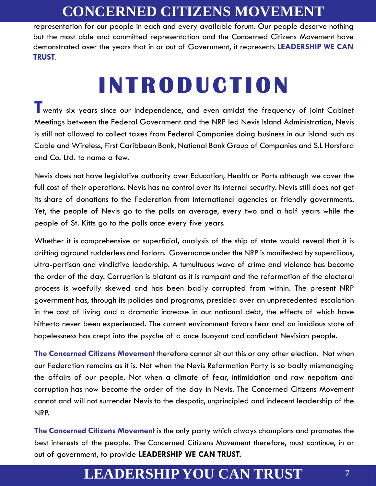representation for our people in each and every available forum. Our people deserve nothing but the most able and committed representation and the Concerned Citizens Movement have demonstrated over the years that in or out of Government, it represents **LEADERSHIP WE CAN TRUST**.

# **INTRODUCTION**

**T**wenty six years since our independence, and even amidst the frequency of joint Cabinet Meetings between the Federal Government and the NRP led Nevis Island Administration, Nevis is still not allowed to collect taxes from Federal Companies doing business in our island such as Cable and Wireless, First Caribbean Bank, National Bank Group of Companies and S.L Horsford and Co. Ltd. to name a few.

**YOU CAN** Nevis does not have legislative authority over Education, Health or Ports although we cover the full cost of their operations. Nevis has no control over its internal security. Nevis still does not get its share of donations to the Federation from international agencies or friendly governments. Yet, the people of Nevis go to the polls on average, every two and a half years while the people of St. Kitts go to the polls once every five years.

> Whether it is comprehensive or superficial, analysis of the ship of state would reveal that it is drifting aground rudderless and forlorn. Governance under the NRP is manifested by supercilious, ultra-partisan and vindictive leadership. A tumultuous wave of crime and violence has become the order of the day. Corruption is blatant as it is rampant and the reformation of the electoral process is woefully skewed and has been badly corrupted from within. The present NRP government has, through its policies and programs, presided over an unprecedented escalation in the cost of living and a dramatic increase in our national debt, the effects of which have hitherto never been experienced. The current environment favors fear and an insidious state of hopelessness has crept into the psyche of a once buoyant and confident Nevisian people.

> **The Concerned Citizens Movement** therefore cannot sit out this or any other election. Not when our Federation remains as it is. Not when the Nevis Reformation Party is so badly mismanaging the affairs of our people. Not when a climate of fear, intimidation and raw nepotism and corruption has now become the order of the day in Nevis. The Concerned Citizens Movement cannot and will not surrender Nevis to the despotic, unprincipled and indecent leadership of the NRP.

> **The Concerned Citizens Movement** is the only party which always champions and promotes the best interests of the people. The Concerned Citizens Movement therefore, must continue, in or out of government, to provide **LEADERSHIP WE CAN TRUST.**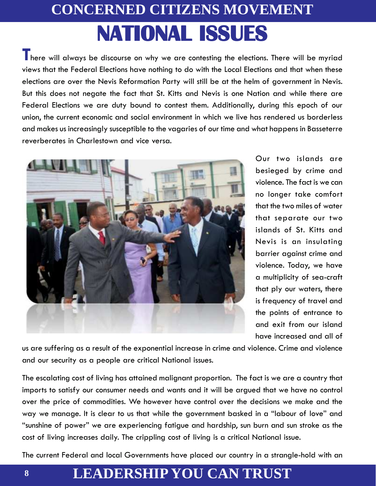# **CONCERNED CITIZENS MOVEMENT NATIONAL ISSUES**

There will always be discourse on why we are contesting the elections. There will be myriad views that the Federal Elections have nothing to do with the Local Elections and that when these elections are over the Nevis Reformation Party will still be at the helm of government in Nevis. But this does not negate the fact that St. Kitts and Nevis is one Nation and while there are Federal Elections we are duty bound to contest them. Additionally, during this epoch of our union, the current economic and social environment in which we live has rendered us borderless and makes us increasingly susceptible to the vagaries of our time and what happens in Basseterre reverberates in Charlestown and vice versa.



Our two islands are besieged by crime and violence. The fact is we can no longer take comfort that the two miles of water that separate our two islands of St. Kitts and Nevis is an insulating barrier against crime and violence. Today, we have a multiplicity of sea-craft that ply our waters, there is frequency of travel and the points of entrance to and exit from our island have increased and all of

us are suffering as a result of the exponential increase in crime and violence. Crime and violence and our security as a people are critical National issues.

The escalating cost of living has attained malignant proportion. The fact is we are a country that imports to satisfy our consumer needs and wants and it will be argued that we have no control over the price of commodities. We however have control over the decisions we make and the way we manage. It is clear to us that while the government basked in a "labour of love" and "sunshine of power" we are experiencing fatigue and hardship, sun burn and sun stroke as the cost of living increases daily. The crippling cost of living is a critical National issue.

The current Federal and local Governments have placed our country in a strangle-hold with an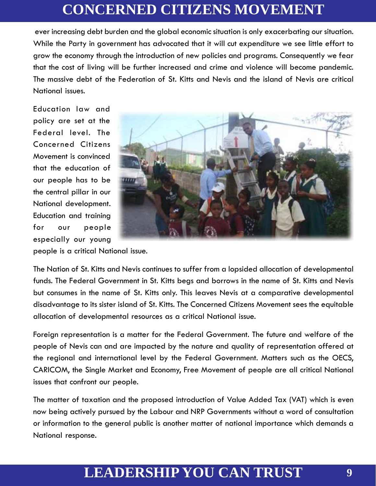ever increasing debt burden and the global economic situation is only exacerbating our situation. While the Party in government has advocated that it will cut expenditure we see little effort to grow the economy through the introduction of new policies and programs. Consequently we fear that the cost of living will be further increased and crime and violence will become pandemic. The massive debt of the Federation of St. Kitts and Nevis and the island of Nevis are critical National issues.

Education law and policy are set at the Federal level. The Concerned Citizens Movement is convinced that the education of our people has to be the central pillar in our National development. Education and training for our people especially our young



people is a critical National issue.

The Nation of St. Kitts and Nevis continues to suffer from a lopsided allocation of developmental funds. The Federal Government in St. Kitts begs and borrows in the name of St. Kitts and Nevis but consumes in the name of St. Kitts only. This leaves Nevis at a comparative developmental disadvantage to its sister island of St. Kitts. The Concerned Citizens Movement sees the equitable allocation of developmental resources as a critical National issue.

Foreign representation is a matter for the Federal Government. The future and welfare of the people of Nevis can and are impacted by the nature and quality of representation offered at the regional and international level by the Federal Government. Matters such as the OECS, CARICOM, the Single Market and Economy, Free Movement of people are all critical National issues that confront our people.

The matter of taxation and the proposed introduction of Value Added Tax (VAT) which is even now being actively pursued by the Labour and NRP Governments without a word of consultation or information to the general public is another matter of national importance which demands a National response.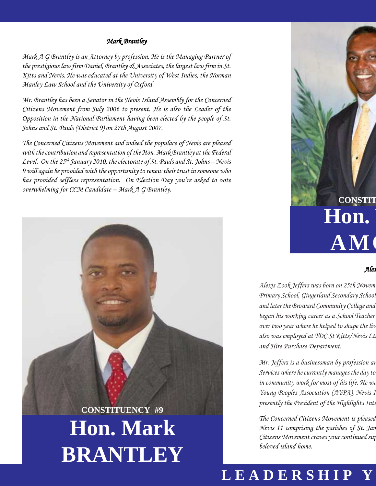#### *Mark Brantley*

*Mark A G Brantley is an Attorney by profession. He is the Managing Partner of the prestigious law firm Daniel, Brantley & Associates, the largest law firm in St. Kitts and Nevis. He was educated at the University of West Indies, the Norman Manley Law School and the University of Oxford.*

*Mr. Brantley has been a Senator in the Nevis Island Assembly for the Concerned Citizens Movement from July 2006 to present. He is also the Leader of the Opposition in the National Parliament having been elected by the people of St. Johns and St. Pauls (District 9) on 27th August 2007.*

*The Concerned Citizens Movement and indeed the populace of Nevis are pleased with the contribution and representation of the Hon. Mark Brantley at the Federal Level. On the 25th January 2010, the electorate of St. Pauls and St. Johns – Nevis 9 will again be provided with the opportunity to renew their trust in someone who has provided selfless representation. On Election Day you're asked to vote overwhelming for CCM Candidate – Mark A G Brantley.*

# **Hon. Mark BRANTLEY CONSTITUENCY #9**

# Hon.  $\mathbf{AM}$  ( **CONSTIT**

#### *Alexis Jeffers*

*Alexis Zook Jeffers was born on 25th November, 1968. He received his education at the St James Primary School, Gingerland Secondary School, Charlestown Secondary School Sixth Form College and later the Broward Community College and Florida Atlantic University in Florida. began his working career as a School Teacher over two year where he helped to shape the lives over two year where he lives also was employed at TDC St Kitts/Nevis Ltd for about seven years and managed the Car Rental and Hire Purchase Department.*

*Mr. Jeffers is a businessman by profession an Services where he currently manages the day to* in community work for most of his life. He was *Young Peoples Association (AYPA), Nevis 1 presently the President of the Highlights International Sports and Sports and Sports and Sports and Sports* and S

*The Concerned Citizens Movement is pleased Nevis 11 comprising the parishes of St. Jan Citizens Movement craves your continued sup beloved island home.*

## LEADERSHIP Y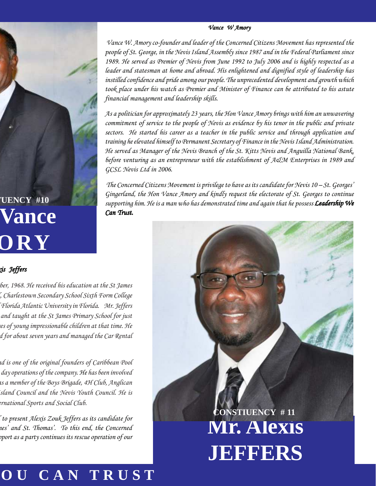#### *Vance W Amory*

 *Vance W. Amory co-founder and leader of the Concerned Citizens Movement has represented the people of St. George, in the Nevis Island Assembly since 1987 and in the Federal Parliament since 1989. He served as Premier of Nevis from June 1992 to July 2006 and is highly respected as a leader and statesman at home and abroad. His enlightened and dignified style of leadership has instilled confidence and pride among our people. The unprecedented development and growth which took place under his watch as Premier and Minister of Finance can be attributed to his astute financial management and leadership skills.*

*As a politician for approximately 23 years, the Hon Vance Amory brings with him an unwavering commitment of service to the people of Nevis as evidence by his tenor in the public and private sectors. He started his career as a teacher in the public service and through application and training he elevated himself to Permanent Secretary of Finance in the Nevis Island Administration. He served as Manager of the Nevis Branch of the St. Kitts Nevis and Anguilla National Bank, before venturing as an entrepreneur with the establishment of A&M Enterprises in 1989 and GCSL Nevis Ltd in 2006.*

 *The Concerned Citizens Movement is privilege to have as its candidate for Nevis 10 – St. Georges' Gingerland, the Hon Vance Amory and kindly request the electorate of St. Georges to continue supporting him. He is a man who has demonstrated time and again that he possess Leadership We Can Trust.*

#### *Alexis Jeffers*

**Hon. Vance**

**CONSTITUENCY** #10

**AMORY**

*Alexis Zook Jeffers was born on 25th November, 1968. He received his education at the St James Primary School, Gingerland Secondary School, Charlestown Secondary School Sixth Form College and later the Broward Community College and Florida Atlantic University in Florida. Mr. Jeffers began his working career as a School Teacher and taught at the St James Primary School for just over two year where he helped to shape the lives of young impressionable children at that time. He also was employed at TDC St Kitts/Nevis Ltd for about seven years and managed the Car Rental*

*Mr. Jeffers is a businessman by profession and is one of the original founders of Caribbean Pool Services where he currently manages the day to day operations of the company. He has been involved in community work for most of his life. He was a member of the Boys Brigade, 4H Club, Anglican Young Peoples Association (AYPA), Nevis Island Council and the Nevis Youth Council. He is presently the President of the Highlights International Sports and Social Club.*

*The Concerned Citizens Movement is pleased to present Alexis Zouk Jeffers as its candidate for Nevis 11 comprising the parishes of St. James' and St. Thomas'. To this end, the Concerned Citizens Movement craves your continued support as a party continues its rescue operation of our* **Mr. Alexis JEFFERS CONSTIUENCY # 11**

## **YOU CAN TRUST**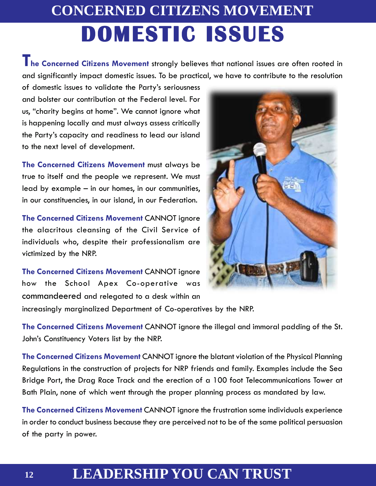# **CONCERNED CITIZENS MOVEMENT DOMESTIC ISSUES**

**The Concerned Citizens Movement** strongly believes that national issues are often rooted in and significantly impact domestic issues. To be practical, we have to contribute to the resolution

of domestic issues to validate the Party's seriousness and bolster our contribution at the Federal level. For us, "charity begins at home". We cannot ignore what is happening locally and must always assess critically the Party's capacity and readiness to lead our island to the next level of development.

**The Concerned Citizens Movement** must always be true to itself and the people we represent. We must lead by example – in our homes, in our communities, in our constituencies, in our island, in our Federation.

**The Concerned Citizens Movement** CANNOT ignore the alacritous cleansing of the Civil Service of individuals who, despite their professionalism are victimized by the NRP.

**The Concerned Citizens Movement** CANNOT ignore how the School Apex Co-operative was commandeered and relegated to a desk within an



increasingly marginalized Department of Co-operatives by the NRP.

**The Concerned Citizens Movement** CANNOT ignore the illegal and immoral padding of the St. John's Constituency Voters list by the NRP.

**The Concerned Citizens Movement** CANNOT ignore the blatant violation of the Physical Planning Regulations in the construction of projects for NRP friends and family. Examples include the Sea Bridge Port, the Drag Race Track and the erection of a 100 foot Telecommunications Tower at Bath Plain, none of which went through the proper planning process as mandated by law.

**The Concerned Citizens Movement** CANNOT ignore the frustration some individuals experience in order to conduct business because they are perceived not to be of the same political persuasion of the party in power.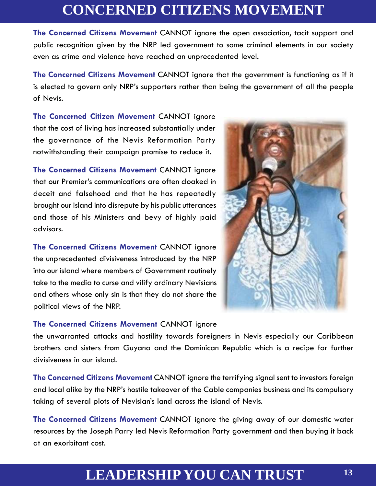**The Concerned Citizens Movement** CANNOT ignore the open association, tacit support and public recognition given by the NRP led government to some criminal elements in our society even as crime and violence have reached an unprecedented level.

**The Concerned Citizens Movement** CANNOT ignore that the government is functioning as if it is elected to govern only NRP's supporters rather than being the government of all the people of Nevis.

**The Concerned Citizen Movement** CANNOT ignore that the cost of living has increased substantially under the governance of the Nevis Reformation Party notwithstanding their campaign promise to reduce it.

**The Concerned Citizens Movement** CANNOT ignore that our Premier's communications are often cloaked in deceit and falsehood and that he has repeatedly brought our island into disrepute by his public utterances and those of his Ministers and bevy of highly paid advisors.

**The Concerned Citizens Movement** CANNOT ignore the unprecedented divisiveness introduced by the NRP into our island where members of Government routinely take to the media to curse and vilify ordinary Nevisians and others whose only sin is that they do not share the political views of the NRP.

#### **The Concerned Citizens Movement** CANNOT ignore

the unwarranted attacks and hostility towards foreigners in Nevis especially our Caribbean brothers and sisters from Guyana and the Dominican Republic which is a recipe for further divisiveness in our island.

**The Concerned Citizens Movement** CANNOT ignore the terrifying signal sent to investors foreign and local alike by the NRP's hostile takeover of the Cable companies business and its compulsory taking of several plots of Nevisian's land across the island of Nevis.

**The Concerned Citizens Movement** CANNOT ignore the giving away of our domestic water resources by the Joseph Parry led Nevis Reformation Party government and then buying it back at an exorbitant cost.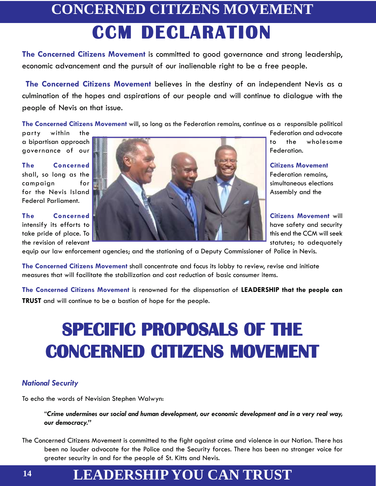# **CONCERNED CITIZENS MOVEMENT CCM DECLARATION**

**The Concerned Citizens Movement** is committed to good governance and strong leadership, economic advancement and the pursuit of our inalienable right to be a free people.

**The Concerned Citizens Movement** believes in the destiny of an independent Nevis as a culmination of the hopes and aspirations of our people and will continue to dialogue with the people of Nevis on that issue.

**The Concerned Citizens Movement** will, so long as the Federation remains, continue as a responsible political

Federal Parliament.



equip our law enforcement agencies; and the stationing of a Deputy Commissioner of Police in Nevis.

**The Concerned Citizens Movement** shall concentrate and focus its lobby to review, revise and initiate measures that will facilitate the stabilization and cost reduction of basic consumer items.

**The Concerned Citizens Movement** is renowned for the dispensation of **LEADERSHIP that the people can TRUST** and will continue to be a bastion of hope for the people.

# **SPECIFIC PROPOSALS OF THE CONCERNED CITIZENS MOVEMENT**

#### *National Security*

To echo the words of Nevisian Stephen Walwyn:

"*Crime undermines our social and human development, our economic development and in a very real way, our democracy."*

The Concerned Citizens Movement is committed to the fight against crime and violence in our Nation. There has been no louder advocate for the Police and the Security forces. There has been no stronger voice for greater security in and for the people of St. Kitts and Nevis.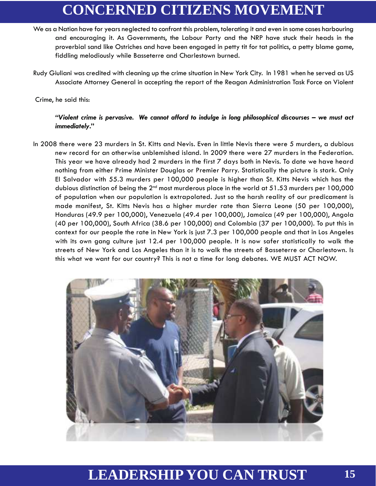- We as a Nation have for years neglected to confront this problem, tolerating it and even in some cases harbouring and encouraging it. As Governments, the Labour Party and the NRP have stuck their heads in the proverbial sand like Ostriches and have been engaged in petty tit for tat politics, a petty blame game, fiddling melodiously while Basseterre and Charlestown burned.
- Rudy Giuliani was credited with cleaning up the crime situation in New York City. In 1981 when he served as US Associate Attorney General in accepting the report of the Reagan Administration Task Force on Violent

Crime, he said this:

#### *"Violent crime is pervasive. We cannot afford to indulge in long philosophical discourses – we must act immediately***."**

In 2008 there were 23 murders in St. Kitts and Nevis. Even in little Nevis there were 5 murders, a dubious new record for an otherwise unblemished island. In 2009 there were 27 murders in the Federation. This year we have already had 2 murders in the first 7 days both in Nevis. To date we have heard nothing from either Prime Minister Douglas or Premier Parry. Statistically the picture is stark. Only El Salvador with 55.3 murders per 100,000 people is higher than St. Kitts Nevis which has the dubious distinction of being the 2<sup>nd</sup> most murderous place in the world at 51.53 murders per 100,000 of population when our population is extrapolated. Just so the harsh reality of our predicament is made manifest, St. Kitts Nevis has a higher murder rate than Sierra Leone (50 per 100,000), Honduras (49.9 per 100,000), Venezuela (49.4 per 100,000), Jamaica (49 per 100,000), Angola (40 per 100,000), South Africa (38.6 per 100,000) and Colombia (37 per 100,000). To put this in context for our people the rate in New York is just 7.3 per 100,000 people and that in Los Angeles with its own gang culture just 12.4 per 100,000 people. It is now safer statistically to walk the streets of New York and Los Angeles than it is to walk the streets of Basseterre or Charlestown. Is this what we want for our country? This is not a time for long debates. WE MUST ACT NOW.

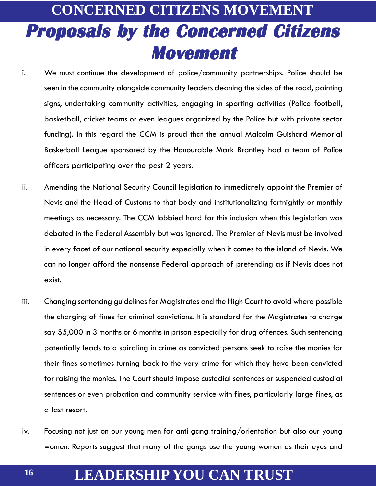## **CONCERNED CITIZENS MOVEMENT Proposals by the Concerned Citizens Movement**

- i. We must continue the development of police/community partnerships. Police should be seen in the community alongside community leaders cleaning the sides of the road, painting signs, undertaking community activities, engaging in sporting activities (Police football, basketball, cricket teams or even leagues organized by the Police but with private sector funding). In this regard the CCM is proud that the annual Malcolm Guishard Memorial Basketball League sponsored by the Honourable Mark Brantley had a team of Police officers participating over the past 2 years.
- ii. Amending the National Security Council legislation to immediately appoint the Premier of Nevis and the Head of Customs to that body and institutionalizing fortnightly or monthly meetings as necessary. The CCM lobbied hard for this inclusion when this legislation was debated in the Federal Assembly but was ignored. The Premier of Nevis must be involved in every facet of our national security especially when it comes to the island of Nevis. We can no longer afford the nonsense Federal approach of pretending as if Nevis does not exist.
- iii. Changing sentencing guidelines for Magistrates and the High Court to avoid where possible the charging of fines for criminal convictions. It is standard for the Magistrates to charge say \$5,000 in 3 months or 6 months in prison especially for drug offences. Such sentencing potentially leads to a spiraling in crime as convicted persons seek to raise the monies for their fines sometimes turning back to the very crime for which they have been convicted for raising the monies. The Court should impose custodial sentences or suspended custodial sentences or even probation and community service with fines, particularly large fines, as a last resort.
- iv. Focusing not just on our young men for anti gang training/orientation but also our young women. Reports suggest that many of the gangs use the young women as their eyes and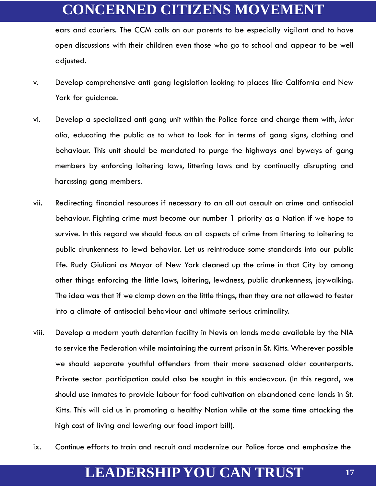ears and couriers. The CCM calls on our parents to be especially vigilant and to have open discussions with their children even those who go to school and appear to be well adjusted.

- v. Develop comprehensive anti gang legislation looking to places like California and New York for guidance.
- vi. Develop a specialized anti gang unit within the Police force and charge them with, *inter alia,* educating the public as to what to look for in terms of gang signs, clothing and behaviour. This unit should be mandated to purge the highways and byways of gang members by enforcing loitering laws, littering laws and by continually disrupting and harassing gang members.
- vii. Redirecting financial resources if necessary to an all out assault on crime and antisocial behaviour. Fighting crime must become our number 1 priority as a Nation if we hope to survive. In this regard we should focus on all aspects of crime from littering to loitering to public drunkenness to lewd behavior. Let us reintroduce some standards into our public life. Rudy Giuliani as Mayor of New York cleaned up the crime in that City by among other things enforcing the little laws, loitering, lewdness, public drunkenness, jaywalking. The idea was that if we clamp down on the little things, then they are not allowed to fester into a climate of antisocial behaviour and ultimate serious criminality.
- viii. Develop a modern youth detention facility in Nevis on lands made available by the NIA to service the Federation while maintaining the current prison in St. Kitts. Wherever possible we should separate youthful offenders from their more seasoned older counterparts. Private sector participation could also be sought in this endeavour. (In this regard, we should use inmates to provide labour for food cultivation on abandoned cane lands in St. Kitts. This will aid us in promoting a healthy Nation while at the same time attacking the high cost of living and lowering our food import bill).
- ix. Continue efforts to train and recruit and modernize our Police force and emphasize the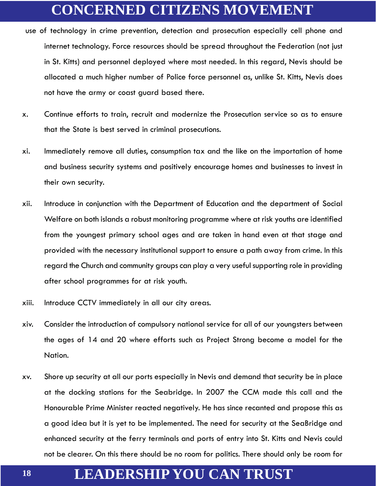- use of technology in crime prevention, detection and prosecution especially cell phone and internet technology. Force resources should be spread throughout the Federation (not just in St. Kitts) and personnel deployed where most needed. In this regard, Nevis should be allocated a much higher number of Police force personnel as, unlike St. Kitts, Nevis does not have the army or coast guard based there.
- x. Continue efforts to train, recruit and modernize the Prosecution service so as to ensure that the State is best served in criminal prosecutions.
- xi. Immediately remove all duties, consumption tax and the like on the importation of home and business security systems and positively encourage homes and businesses to invest in their own security.
- xii. Introduce in conjunction with the Department of Education and the department of Social Welfare on both islands a robust monitoring programme where at risk youths are identified from the youngest primary school ages and are taken in hand even at that stage and provided with the necessary institutional support to ensure a path away from crime. In this regard the Church and community groups can play a very useful supporting role in providing after school programmes for at risk youth.
- xiii. Introduce CCTV immediately in all our city areas.
- xiv. Consider the introduction of compulsory national service for all of our youngsters between the ages of 14 and 20 where efforts such as Project Strong become a model for the Nation.
- xv. Shore up security at all our ports especially in Nevis and demand that security be in place at the docking stations for the Seabridge. In 2007 the CCM made this call and the Honourable Prime Minister reacted negatively. He has since recanted and propose this as a good idea but it is yet to be implemented. The need for security at the SeaBridge and enhanced security at the ferry terminals and ports of entry into St. Kitts and Nevis could not be clearer. On this there should be no room for politics. There should only be room for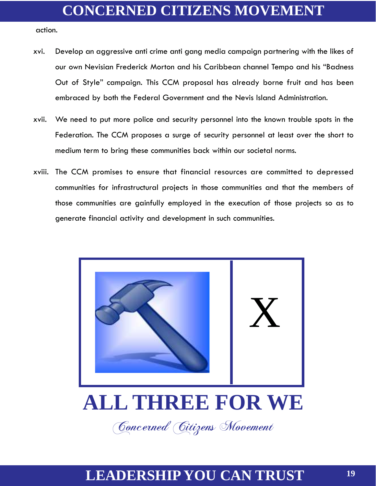action.

- xvi. Develop an aggressive anti crime anti gang media campaign partnering with the likes of our own Nevisian Frederick Morton and his Caribbean channel Tempo and his "Badness Out of Style" campaign. This CCM proposal has already borne fruit and has been embraced by both the Federal Government and the Nevis Island Administration.
- xvii. We need to put more police and security personnel into the known trouble spots in the Federation. The CCM proposes a surge of security personnel at least over the short to medium term to bring these communities back within our societal norms.
- xviii. The CCM promises to ensure that financial resources are committed to depressed communities for infrastructural projects in those communities and that the members of those communities are gainfully employed in the execution of those projects so as to generate financial activity and development in such communities.